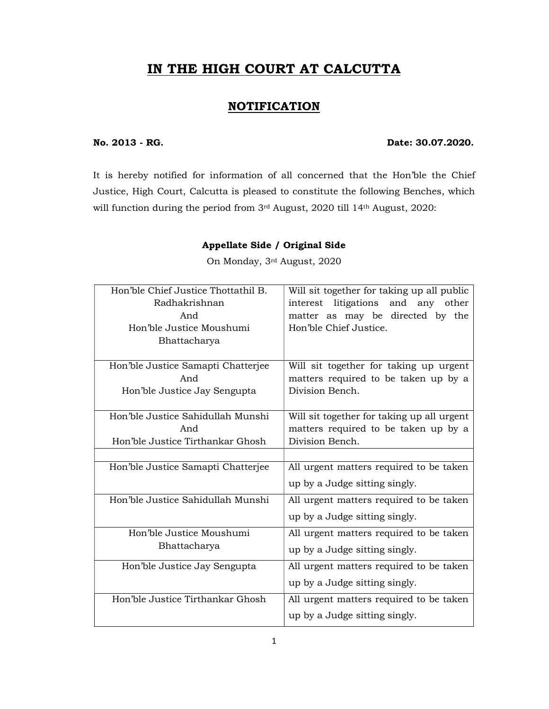# IN THE HIGH COURT AT CALCUTTA

#### **NOTIFICATION**

#### No. 2013 - RG. Date: 30.07.2020.

It is hereby notified for information of all concerned that the Hon'ble the Chief Justice, High Court, Calcutta is pleased to constitute the following Benches, which will function during the period from 3rd August, 2020 till 14th August, 2020:

#### Appellate Side / Original Side

On Monday, 3rd August, 2020

| Hon'ble Chief Justice Thottathil B.<br>Radhakrishnan<br>And                  | Will sit together for taking up all public<br>litigations<br>and any other<br>interest<br>matter as may be directed by the |
|------------------------------------------------------------------------------|----------------------------------------------------------------------------------------------------------------------------|
| Hon'ble Justice Moushumi<br>Bhattacharya                                     | Hon'ble Chief Justice.                                                                                                     |
| Hon'ble Justice Samapti Chatterjee<br>And<br>Hon'ble Justice Jay Sengupta    | Will sit together for taking up urgent<br>matters required to be taken up by a<br>Division Bench.                          |
| Hon'ble Justice Sahidullah Munshi<br>And<br>Hon'ble Justice Tirthankar Ghosh | Will sit together for taking up all urgent<br>matters required to be taken up by a<br>Division Bench.                      |
| Hon'ble Justice Samapti Chatterjee                                           | All urgent matters required to be taken<br>up by a Judge sitting singly.                                                   |
| Hon'ble Justice Sahidullah Munshi                                            | All urgent matters required to be taken<br>up by a Judge sitting singly.                                                   |
| Hon'ble Justice Moushumi<br>Bhattacharya                                     | All urgent matters required to be taken<br>up by a Judge sitting singly.                                                   |
| Hon'ble Justice Jay Sengupta                                                 | All urgent matters required to be taken<br>up by a Judge sitting singly.                                                   |
| Hon'ble Justice Tirthankar Ghosh                                             | All urgent matters required to be taken<br>up by a Judge sitting singly.                                                   |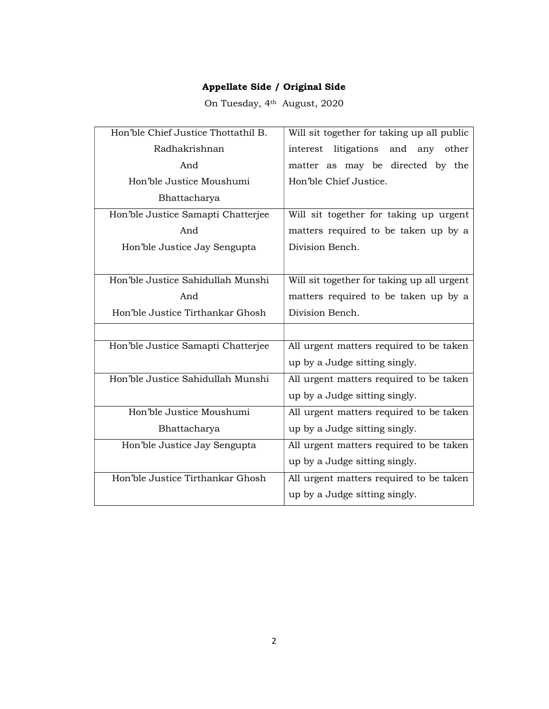On Tuesday, 4th August, 2020

| Hon'ble Chief Justice Thottathil B. | Will sit together for taking up all public |
|-------------------------------------|--------------------------------------------|
| Radhakrishnan                       | litigations and<br>interest<br>any other   |
| And                                 | matter as may be directed by the           |
| Hon'ble Justice Moushumi            | Hon'ble Chief Justice.                     |
| Bhattacharya                        |                                            |
| Hon'ble Justice Samapti Chatterjee  | Will sit together for taking up urgent     |
| And                                 | matters required to be taken up by a       |
| Hon'ble Justice Jay Sengupta        | Division Bench.                            |
|                                     |                                            |
| Hon'ble Justice Sahidullah Munshi   | Will sit together for taking up all urgent |
| And                                 | matters required to be taken up by a       |
| Hon'ble Justice Tirthankar Ghosh    | Division Bench.                            |
|                                     |                                            |
| Hon'ble Justice Samapti Chatterjee  | All urgent matters required to be taken    |
|                                     | up by a Judge sitting singly.              |
| Hon'ble Justice Sahidullah Munshi   | All urgent matters required to be taken    |
|                                     | up by a Judge sitting singly.              |
| Hon'ble Justice Moushumi            | All urgent matters required to be taken    |
| Bhattacharya                        | up by a Judge sitting singly.              |
| Hon'ble Justice Jay Sengupta        | All urgent matters required to be taken    |
|                                     | up by a Judge sitting singly.              |
| Hon'ble Justice Tirthankar Ghosh    | All urgent matters required to be taken    |
|                                     | up by a Judge sitting singly.              |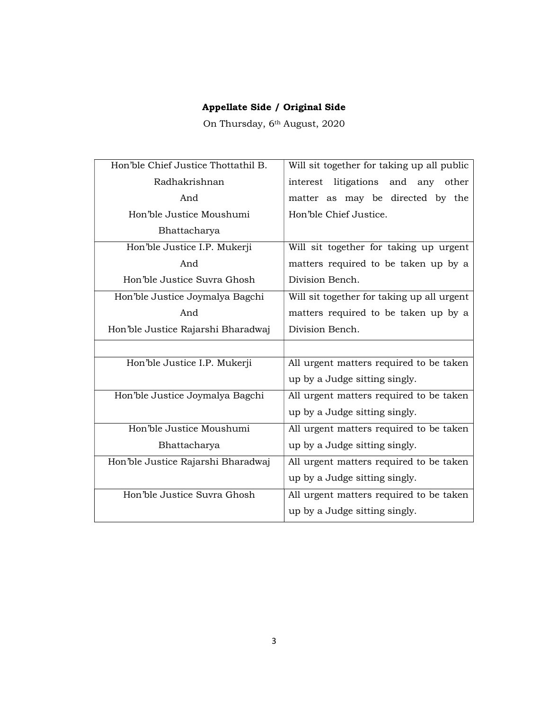On Thursday, 6th August, 2020

| Hon'ble Chief Justice Thottathil B. | Will sit together for taking up all public |
|-------------------------------------|--------------------------------------------|
| Radhakrishnan                       | interest litigations and any other         |
| And                                 | matter as may be directed by the           |
| Hon'ble Justice Moushumi            | Hon'ble Chief Justice.                     |
| Bhattacharya                        |                                            |
| Hon'ble Justice I.P. Mukerji        | Will sit together for taking up urgent     |
| And                                 | matters required to be taken up by a       |
| Hon'ble Justice Suvra Ghosh         | Division Bench.                            |
| Hon'ble Justice Joymalya Bagchi     | Will sit together for taking up all urgent |
| And                                 | matters required to be taken up by a       |
| Hon'ble Justice Rajarshi Bharadwaj  | Division Bench.                            |
|                                     |                                            |
|                                     |                                            |
| Hon'ble Justice I.P. Mukerji        | All urgent matters required to be taken    |
|                                     | up by a Judge sitting singly.              |
| Hon'ble Justice Joymalya Bagchi     | All urgent matters required to be taken    |
|                                     | up by a Judge sitting singly.              |
| Hon'ble Justice Moushumi            | All urgent matters required to be taken    |
| Bhattacharya                        | up by a Judge sitting singly.              |
| Hon'ble Justice Rajarshi Bharadwaj  | All urgent matters required to be taken    |
|                                     | up by a Judge sitting singly.              |
| Hon'ble Justice Suvra Ghosh         | All urgent matters required to be taken    |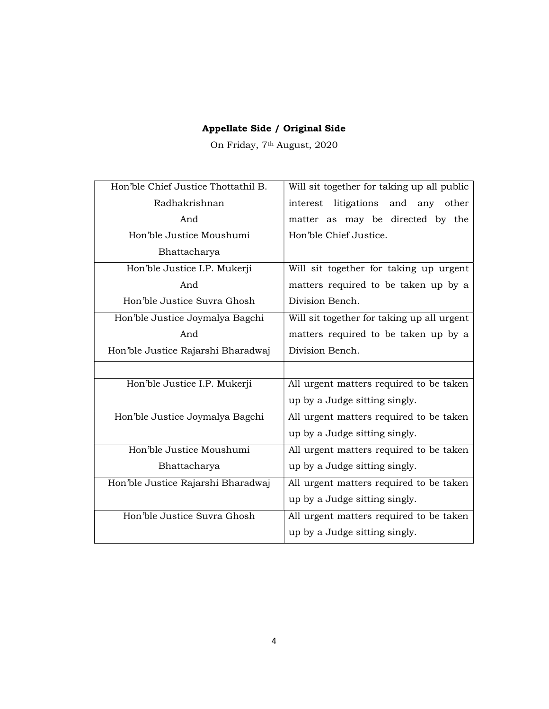On Friday, 7th August, 2020

| Hon'ble Chief Justice Thottathil B. | Will sit together for taking up all public |
|-------------------------------------|--------------------------------------------|
| Radhakrishnan                       | interest litigations and any other         |
| And                                 | matter as may be directed by the           |
| Hon'ble Justice Moushumi            | Hon'ble Chief Justice.                     |
| Bhattacharya                        |                                            |
| Hon'ble Justice I.P. Mukerji        | Will sit together for taking up urgent     |
| And                                 | matters required to be taken up by a       |
| Hon'ble Justice Suvra Ghosh         | Division Bench.                            |
| Hon'ble Justice Joymalya Bagchi     | Will sit together for taking up all urgent |
| And                                 | matters required to be taken up by a       |
| Hon'ble Justice Rajarshi Bharadwaj  | Division Bench.                            |
|                                     |                                            |
| Hon'ble Justice I.P. Mukerji        | All urgent matters required to be taken    |
|                                     | up by a Judge sitting singly.              |
| Hon'ble Justice Joymalya Bagchi     | All urgent matters required to be taken    |
|                                     | up by a Judge sitting singly.              |
| Hon'ble Justice Moushumi            | All urgent matters required to be taken    |
| Bhattacharya                        | up by a Judge sitting singly.              |
| Hon'ble Justice Rajarshi Bharadwaj  | All urgent matters required to be taken    |
|                                     | up by a Judge sitting singly.              |
| Hon'ble Justice Suvra Ghosh         | All urgent matters required to be taken    |
|                                     | up by a Judge sitting singly.              |
|                                     |                                            |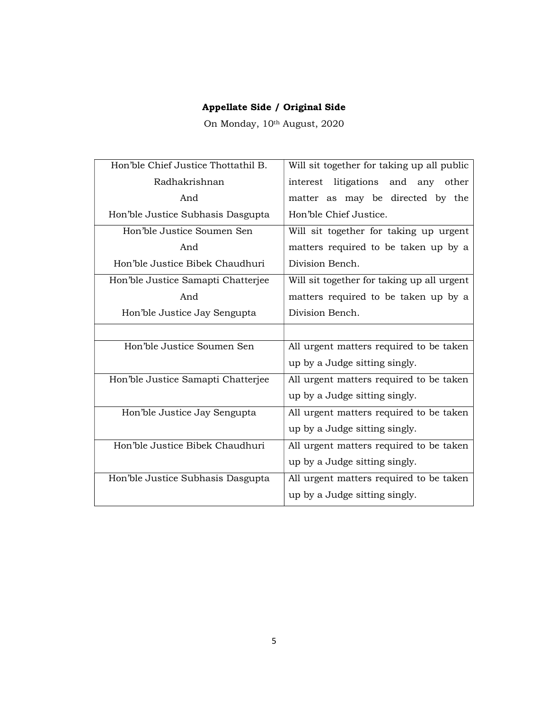On Monday, 10th August, 2020

| Hon'ble Chief Justice Thottathil B. | Will sit together for taking up all public |
|-------------------------------------|--------------------------------------------|
| Radhakrishnan                       | interest litigations and any other         |
| And                                 | matter as may be directed by the           |
| Hon'ble Justice Subhasis Dasgupta   | Hon'ble Chief Justice.                     |
| Hon'ble Justice Soumen Sen          | Will sit together for taking up urgent     |
| And                                 | matters required to be taken up by a       |
| Hon'ble Justice Bibek Chaudhuri     | Division Bench.                            |
| Hon'ble Justice Samapti Chatterjee  | Will sit together for taking up all urgent |
| And                                 | matters required to be taken up by a       |
| Hon'ble Justice Jay Sengupta        | Division Bench.                            |
|                                     |                                            |
| Hon'ble Justice Soumen Sen          | All urgent matters required to be taken    |
|                                     | up by a Judge sitting singly.              |
| Hon'ble Justice Samapti Chatterjee  | All urgent matters required to be taken    |
|                                     | up by a Judge sitting singly.              |
| Hon'ble Justice Jay Sengupta        | All urgent matters required to be taken    |
|                                     | up by a Judge sitting singly.              |
| Hon'ble Justice Bibek Chaudhuri     | All urgent matters required to be taken    |
|                                     | up by a Judge sitting singly.              |
| Hon'ble Justice Subhasis Dasgupta   | All urgent matters required to be taken    |
|                                     | up by a Judge sitting singly.              |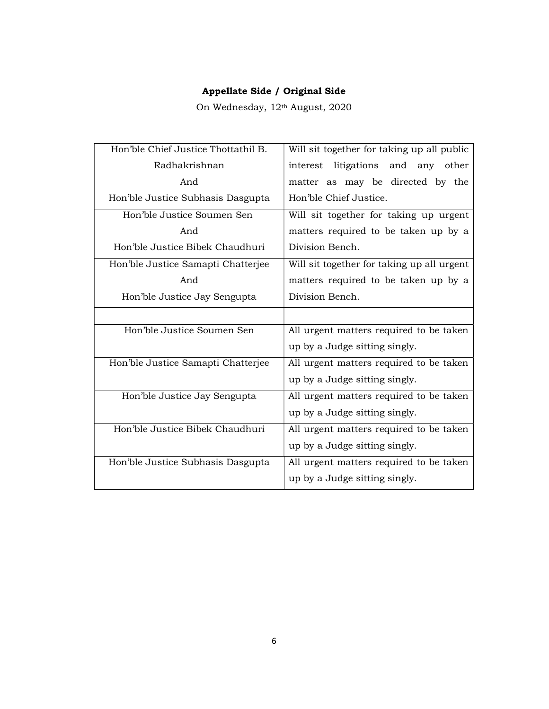On Wednesday, 12th August, 2020

| Hon'ble Chief Justice Thottathil B. | Will sit together for taking up all public |
|-------------------------------------|--------------------------------------------|
| Radhakrishnan                       | interest litigations and any other         |
| And                                 | matter as may be directed by the           |
| Hon'ble Justice Subhasis Dasgupta   | Hon'ble Chief Justice.                     |
| Hon'ble Justice Soumen Sen          | Will sit together for taking up urgent     |
| And                                 | matters required to be taken up by a       |
| Hon'ble Justice Bibek Chaudhuri     | Division Bench.                            |
| Hon'ble Justice Samapti Chatterjee  | Will sit together for taking up all urgent |
| And                                 | matters required to be taken up by a       |
| Hon'ble Justice Jay Sengupta        | Division Bench.                            |
|                                     |                                            |
| Hon'ble Justice Soumen Sen          | All urgent matters required to be taken    |
|                                     | up by a Judge sitting singly.              |
| Hon'ble Justice Samapti Chatterjee  | All urgent matters required to be taken    |
|                                     | up by a Judge sitting singly.              |
| Hon'ble Justice Jay Sengupta        | All urgent matters required to be taken    |
|                                     | up by a Judge sitting singly.              |
| Hon'ble Justice Bibek Chaudhuri     | All urgent matters required to be taken    |
|                                     | up by a Judge sitting singly.              |
| Hon'ble Justice Subhasis Dasgupta   | All urgent matters required to be taken    |
|                                     | up by a Judge sitting singly.              |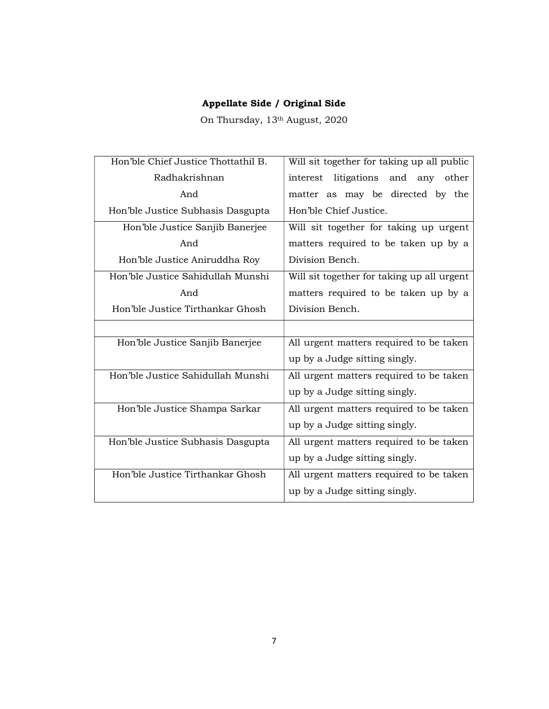On Thursday, 13th August, 2020

| Hon'ble Chief Justice Thottathil B. | Will sit together for taking up all public |
|-------------------------------------|--------------------------------------------|
| Radhakrishnan                       | interest litigations and any other         |
| And                                 | matter as may be directed by the           |
| Hon'ble Justice Subhasis Dasgupta   | Hon'ble Chief Justice.                     |
| Hon'ble Justice Sanjib Banerjee     | Will sit together for taking up urgent     |
| And                                 | matters required to be taken up by a       |
| Hon'ble Justice Aniruddha Roy       | Division Bench.                            |
| Hon'ble Justice Sahidullah Munshi   | Will sit together for taking up all urgent |
| And                                 | matters required to be taken up by a       |
| Hon'ble Justice Tirthankar Ghosh    | Division Bench.                            |
|                                     |                                            |
| Hon'ble Justice Sanjib Banerjee     | All urgent matters required to be taken    |
|                                     | up by a Judge sitting singly.              |
| Hon'ble Justice Sahidullah Munshi   | All urgent matters required to be taken    |
|                                     | up by a Judge sitting singly.              |
| Hon'ble Justice Shampa Sarkar       | All urgent matters required to be taken    |
|                                     | up by a Judge sitting singly.              |
| Hon'ble Justice Subhasis Dasgupta   | All urgent matters required to be taken    |
|                                     | up by a Judge sitting singly.              |
| Hon'ble Justice Tirthankar Ghosh    | All urgent matters required to be taken    |
|                                     | up by a Judge sitting singly.              |